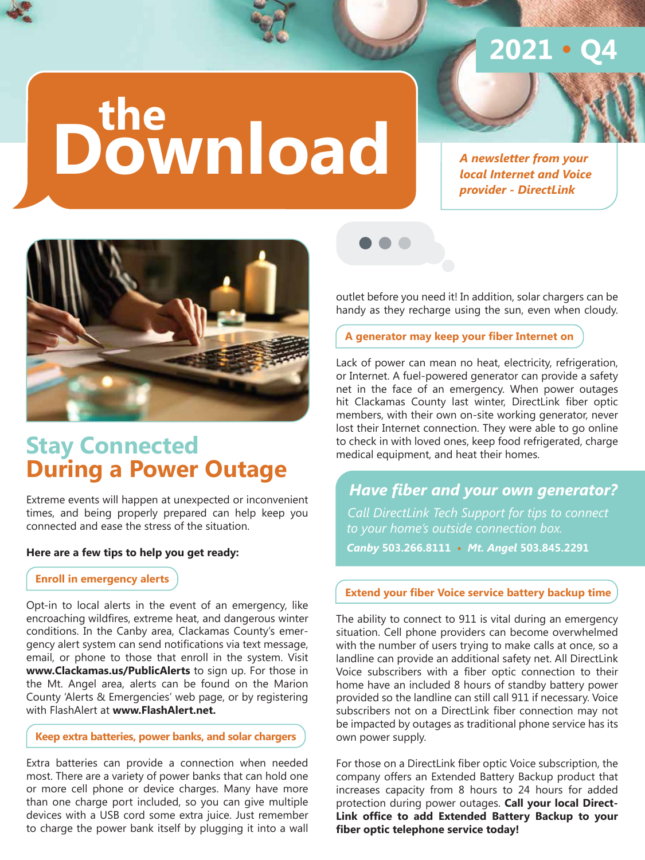# **2021 • Q4**

# **Download the**

*A newsletter from your local Internet and Voice provider - DirectLink*



## **Stay Connected During a Power Outage**

Extreme events will happen at unexpected or inconvenient times, and being properly prepared can help keep you connected and ease the stress of the situation.

#### **Here are a few tips to help you get ready:**

 **Enroll in emergency alerts**

Opt-in to local alerts in the event of an emergency, like encroaching wildfires, extreme heat, and dangerous winter conditions. In the Canby area, Clackamas County's emergency alert system can send notifications via text message, email, or phone to those that enroll in the system. Visit **www.Clackamas.us/PublicAlerts** to sign up. For those in the Mt. Angel area, alerts can be found on the Marion County 'Alerts & Emergencies' web page, or by registering with FlashAlert at **www.FlashAlert.net.**

#### **Keep extra batteries, power banks, and solar chargers**

Extra batteries can provide a connection when needed most. There are a variety of power banks that can hold one or more cell phone or device charges. Many have more than one charge port included, so you can give multiple devices with a USB cord some extra juice. Just remember to charge the power bank itself by plugging it into a wall



outlet before you need it! In addition, solar chargers can be handy as they recharge using the sun, even when cloudy.

#### **A generator may keep your fiber Internet on**

Lack of power can mean no heat, electricity, refrigeration, or Internet. A fuel-powered generator can provide a safety net in the face of an emergency. When power outages hit Clackamas County last winter, DirectLink fiber optic members, with their own on-site working generator, never lost their Internet connection. They were able to go online to check in with loved ones, keep food refrigerated, charge medical equipment, and heat their homes.

 *Have fiber and your own generator? Call DirectLink Tech Support for tips to connect to your home's outside connection box. Canby* **503.266.8111 •** *Mt. Angel* **503.845.2291**

#### **Extend your fiber Voice service battery backup time**

The ability to connect to 911 is vital during an emergency situation. Cell phone providers can become overwhelmed with the number of users trying to make calls at once, so a landline can provide an additional safety net. All DirectLink Voice subscribers with a fiber optic connection to their home have an included 8 hours of standby battery power provided so the landline can still call 911 if necessary. Voice subscribers not on a DirectLink fiber connection may not be impacted by outages as traditional phone service has its own power supply.

For those on a DirectLink fiber optic Voice subscription, the company offers an Extended Battery Backup product that increases capacity from 8 hours to 24 hours for added protection during power outages. **Call your local Direct-Link office to add Extended Battery Backup to your fiber optic telephone service today!**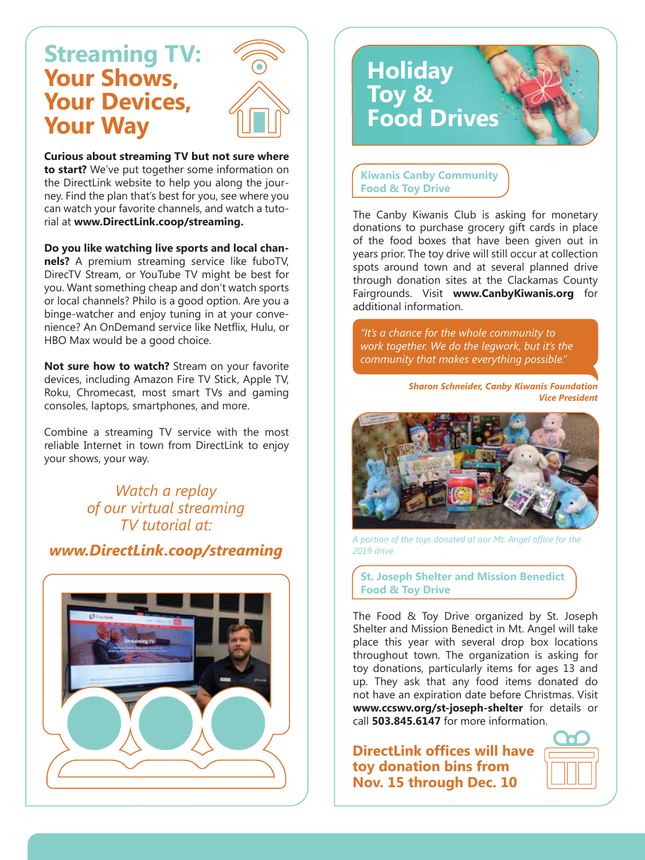## **Streaming TV: Your Shows, Your Devices, Your Way**



**Curious about streaming TV but not sure where to start?** We've put together some information on the DirectLink website to help you along the journey. Find the plan that's best for you, see where you can watch your favorite channels, and watch a tutorial at **www.DirectLink.coop/streaming.**

**Do you like watching live sports and local channels?** A premium streaming service like fuboTV, DirecTV Stream, or YouTube TV might be best for you. Want something cheap and don't watch sports or local channels? Philo is a good option. Are you a binge-watcher and enjoy tuning in at your convenience? An OnDemand service like Netflix, Hulu, or HBO Max would be a good choice.

**Not sure how to watch?** Stream on your favorite devices, including Amazon Fire TV Stick, Apple TV, Roku, Chromecast, most smart TVs and gaming consoles, laptops, smartphones, and more.

Combine a streaming TV service with the most reliable Internet in town from DirectLink to enjoy your shows, your way.

> *Watch a replay of our virtual streaming TV tutorial at:*

*www.DirectLink.coop/streaming*



# **Holiday Toy & Food Drives**

 **Kiwanis Canby Community Food & Toy Drive**

The Canby Kiwanis Club is asking for monetary donations to purchase grocery gift cards in place of the food boxes that have been given out in years prior. The toy drive will still occur at collection spots around town and at several planned drive through donation sites at the Clackamas County Fairgrounds. Visit **www.CanbyKiwanis.org** for additional information.

 *"It's a chance for the whole community to work together. We do the legwork, but it's the community that makes everything possible."*

> *Sharon Schneider, Canby Kiwanis Foundation Vice President*



*A portion of the toys donated at our Mt. Angel office for the 2019 drive.* 

 **St. Joseph Shelter and Mission Benedict Food & Toy Drive**

The Food & Toy Drive organized by St. Joseph Shelter and Mission Benedict in Mt. Angel will take place this year with several drop box locations throughout town. The organization is asking for toy donations, particularly items for ages 13 and up. They ask that any food items donated do not have an expiration date before Christmas. Visit **www.ccswv.org/st-joseph-shelter** for details or call **503.845.6147** for more information.

**DirectLink offices will have toy donation bins from Nov. 15 through Dec. 10**

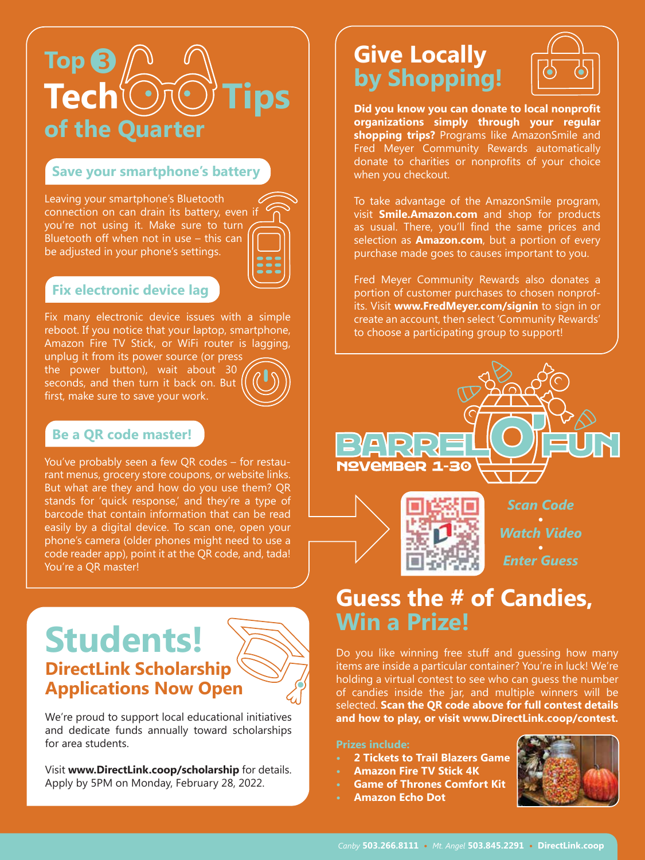

#### **Save your smartphone's battery**

Leaving your smartphone's Bluetooth connection on can drain its battery, even if you're not using it. Make sure to turn Bluetooth off when not in use – this can be adjusted in your phone's settings.



#### **Fix electronic device lag**

Fix many electronic device issues with a simple reboot. If you notice that your laptop, smartphone, Amazon Fire TV Stick, or WiFi router is lagging,

unplug it from its power source (or press the power button), wait about 30 seconds, and then turn it back on. But first, make sure to save your work.



#### **Be a QR code master!**

You've probably seen a few QR codes – for restaurant menus, grocery store coupons, or website links. But what are they and how do you use them? QR stands for 'quick response,' and they're a type of barcode that contain information that can be read easily by a digital device. To scan one, open your phone's camera (older phones might need to use a code reader app), point it at the QR code, and, tada! You're a QR master!

## **Students! DirectLink Scholarship Applications Now Open**



We're proud to support local educational initiatives and dedicate funds annually toward scholarships for area students.

Visit **www.DirectLink.coop/scholarship** for details. Apply by 5PM on Monday, February 28, 2022.

## **Give Locally by Shopping!**



**Did you know you can donate to local nonprofit organizations simply through your regular shopping trips?** Programs like AmazonSmile and Fred Meyer Community Rewards automatically donate to charities or nonprofits of your choice when you checkout.

To take advantage of the AmazonSmile program, visit **Smile.Amazon.com** and shop for products as usual. There, you'll find the same prices and selection as **Amazon.com**, but a portion of every purchase made goes to causes important to you.

Fred Meyer Community Rewards also donates a portion of customer purchases to chosen nonprofits. Visit **www.FredMeyer.com/signin** to sign in or create an account, then select 'Community Rewards' to choose a participating group to support!



*Enter Guess*

## **Guess the # of Candies, Win a Prize!**

Do you like winning free stuff and guessing how many items are inside a particular container? You're in luck! We're holding a virtual contest to see who can guess the number of candies inside the jar, and multiple winners will be selected. **Scan the QR code above for full contest details and how to play, or visit www.DirectLink.coop/contest.** 

**Prizes include:**

- **• 2 Tickets to Trail Blazers Game**
- **Amazon Fire TV Stick 4K**
- **Game of Thrones Comfort Kit**
- **Amazon Echo Dot**